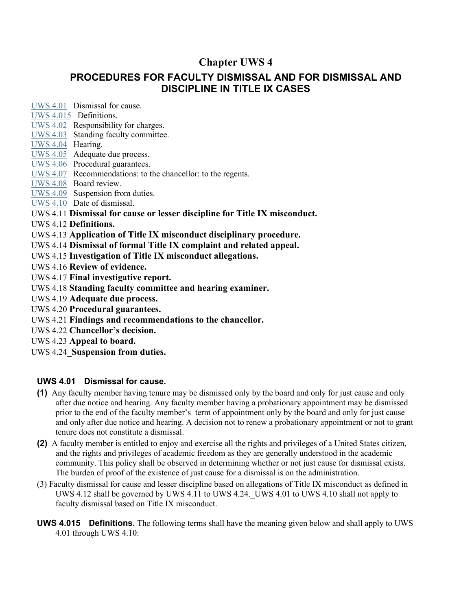# **Chapter UWS 4**

# **PROCEDURES FOR FACULTY DISMISSAL AND FOR DISMISSAL AND DISCIPLINE IN TITLE IX CASES**

[UWS 4.01](http://docs.legis.wisconsin.gov/document/administrativecode/UWS%204.01) Dismissal for cause.

[UWS 4.015](http://docs.legis.wisconsin.gov/document/administrativecode/UWS%204.015) Definitions.

[UWS 4.02](http://docs.legis.wisconsin.gov/document/administrativecode/UWS%204.02) Responsibility for charges.

[UWS 4.03](http://docs.legis.wisconsin.gov/document/administrativecode/UWS%204.03) Standing faculty committee.

[UWS 4.04](http://docs.legis.wisconsin.gov/document/administrativecode/UWS%204.04) Hearing.

[UWS 4.05](http://docs.legis.wisconsin.gov/document/administrativecode/UWS%204.05) Adequate due process.

[UWS 4.06](http://docs.legis.wisconsin.gov/document/administrativecode/UWS%204.06) Procedural guarantees.

[UWS 4.07](http://docs.legis.wisconsin.gov/document/administrativecode/UWS%204.07) Recommendations: to the chancellor: to the regents.

[UWS 4.08](http://docs.legis.wisconsin.gov/document/administrativecode/UWS%204.08) Board review.

[UWS 4.09](http://docs.legis.wisconsin.gov/document/administrativecode/UWS%204.09) Suspension from duties.

[UWS 4.10](http://docs.legis.wisconsin.gov/document/administrativecode/UWS%204.10) Date of dismissal.

UWS 4.11 **Dismissal for cause or lesser discipline for Title IX misconduct.**

UWS 4.12 **Definitions.**

UWS 4.13 **Application of Title IX misconduct disciplinary procedure.**

UWS 4.14 **Dismissal of formal Title IX complaint and related appeal.**

UWS 4.15 **Investigation of Title IX misconduct allegations.**

UWS 4.16 **Review of evidence.**

UWS 4.17 **Final investigative report.**

UWS 4.18 **Standing faculty committee and hearing examiner.**

UWS 4.19 **Adequate due process.**

UWS 4.20 **Procedural guarantees.**

UWS 4.21 **Findings and recommendations to the chancellor.**

UWS 4.22 **Chancellor's decision.** 

UWS 4.23 **Appeal to board.**

UWS 4.24**\_Suspension from duties.**

### **UWS 4.01 Dismissal for cause.**

- **(1)** Any faculty member having tenure may be dismissed only by the board and only for just cause and only after due notice and hearing. Any faculty member having a probationary appointment may be dismissed prior to the end of the faculty member's term of appointment only by the board and only for just cause and only after due notice and hearing. A decision not to renew a probationary appointment or not to grant tenure does not constitute a dismissal.
- **(2)** A faculty member is entitled to enjoy and exercise all the rights and privileges of a United States citizen, and the rights and privileges of academic freedom as they are generally understood in the academic community. This policy shall be observed in determining whether or not just cause for dismissal exists. The burden of proof of the existence of just cause for a dismissal is on the administration.
- (3) Faculty dismissal for cause and lesser discipline based on allegations of Title IX misconduct as defined in UWS 4.12 shall be governed by UWS 4.11 to UWS 4.24. UWS 4.01 to UWS 4.10 shall not apply to faculty dismissal based on Title IX misconduct.
- **UWS 4.015 Definitions.** The following terms shall have the meaning given below and shall apply to UWS 4.01 through UWS 4.10: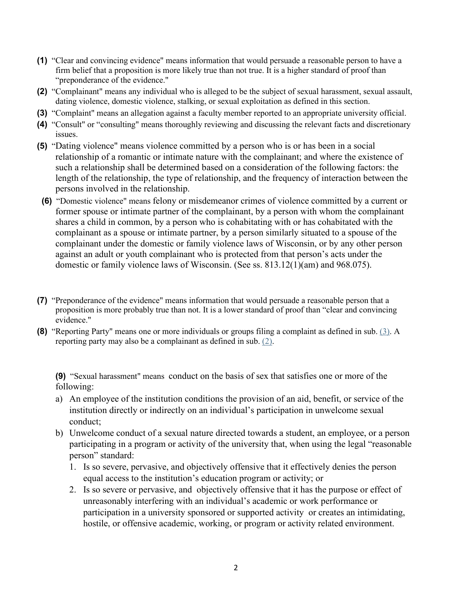- **(1)** "Clear and convincing evidence" means information that would persuade a reasonable person to have a firm belief that a proposition is more likely true than not true. It is a higher standard of proof than "preponderance of the evidence."
- **(2)** "Complainant" means any individual who is alleged to be the subject of sexual harassment, sexual assault, dating violence, domestic violence, stalking, or sexual exploitation as defined in this section.
- **(3)** "Complaint" means an allegation against a faculty member reported to an appropriate university official.
- **(4)** "Consult" or "consulting" means thoroughly reviewing and discussing the relevant facts and discretionary issues.
- **(5)** "Dating violence" means violence committed by a person who is or has been in a social relationship of a romantic or intimate nature with the complainant; and where the existence of such a relationship shall be determined based on a consideration of the following factors: the length of the relationship, the type of relationship, and the frequency of interaction between the persons involved in the relationship.
- **(6)** "Domestic violence" means felony or misdemeanor crimes of violence committed by a current or former spouse or intimate partner of the complainant, by a person with whom the complainant shares a child in common, by a person who is cohabitating with or has cohabitated with the complainant as a spouse or intimate partner, by a person similarly situated to a spouse of the complainant under the domestic or family violence laws of Wisconsin, or by any other person against an adult or youth complainant who is protected from that person's acts under the domestic or family violence laws of Wisconsin. (See ss. 813.12(1)(am) and 968.075).
- **(7)** "Preponderance of the evidence" means information that would persuade a reasonable person that a proposition is more probably true than not. It is a lower standard of proof than "clear and convincing evidence."
- **(8)** "Reporting Party" means one or more individuals or groups filing a complaint as defined in sub. [\(3\).](http://docs.legis.wisconsin.gov/document/administrativecode/UWS%204.015(3)) A reporting party may also be a complainant as defined in sub. [\(2\).](http://docs.legis.wisconsin.gov/document/administrativecode/UWS%204.015(2))

**(9)** "Sexual harassment" means conduct on the basis of sex that satisfies one or more of the following:

- a) An employee of the institution conditions the provision of an aid, benefit, or service of the institution directly or indirectly on an individual's participation in unwelcome sexual conduct;
- b) Unwelcome conduct of a sexual nature directed towards a student, an employee, or a person participating in a program or activity of the university that, when using the legal "reasonable person" standard:
	- 1. Is so severe, pervasive, and objectively offensive that it effectively denies the person equal access to the institution's education program or activity; or
	- 2. Is so severe or pervasive, and objectively offensive that it has the purpose or effect of unreasonably interfering with an individual's academic or work performance or participation in a university sponsored or supported activity or creates an intimidating, hostile, or offensive academic, working, or program or activity related environment.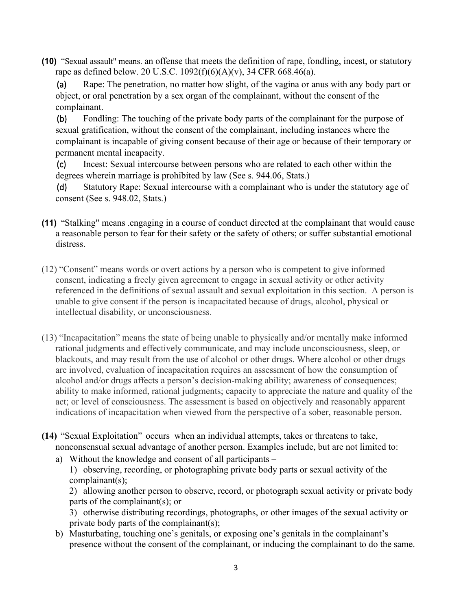**(10)** "Sexual assault" means. an offense that meets the definition of rape, [fondling,](https://www.law.cornell.edu/definitions/index.php?width=840&height=800&iframe=true&def_id=3112f914903fb64936d08c8c15e2ea59&term_occur=999&term_src=Title:34:Subtitle:B:Chapter:VI:Part:668:Subpart:D:668.46) [incest,](https://www.law.cornell.edu/definitions/index.php?width=840&height=800&iframe=true&def_id=5ee45180f812d62eecc4e6aa2a0693b4&term_occur=999&term_src=Title:34:Subtitle:B:Chapter:VI:Part:668:Subpart:D:668.46) or [statutory](https://www.law.cornell.edu/definitions/index.php?width=840&height=800&iframe=true&def_id=d378725adf04ddf1e40cd14d6e338cca&term_occur=999&term_src=Title:34:Subtitle:B:Chapter:VI:Part:668:Subpart:D:668.46)  [rape](https://www.law.cornell.edu/definitions/index.php?width=840&height=800&iframe=true&def_id=d378725adf04ddf1e40cd14d6e338cca&term_occur=999&term_src=Title:34:Subtitle:B:Chapter:VI:Part:668:Subpart:D:668.46) as defined below. 20 U.S.C. 1092(f)(6)(A)(v), 34 CFR 668.46(a).

(a) Rape: The penetration, no matter how slight, of the vagina or anus with any body part or object, or oral penetration by a sex organ of the complainant, without the consent of the complainant.

(b) Fondling: The touching of the private body parts of the complainant for the purpose of sexual gratification, without the consent of the complainant, including instances where the complainant is incapable of giving consent because of their age or because of their temporary or permanent mental incapacity.

(c) Incest: Sexual intercourse between persons who are related to each other within the degrees wherein marriage is prohibited by law (See s. 944.06, Stats.)

(d) Statutory Rape: Sexual intercourse with a complainant who is under the statutory age of consent (See s. 948.02, Stats.)

- **(11)** "Stalking" means .engaging in a course of conduct directed at the complainant that would cause a reasonable person to fear for their safety or the safety of others; or suffer substantial emotional distress.
- (12) "Consent" means words or overt actions by a person who is competent to give informed consent, indicating a freely given agreement to engage in sexual activity or other activity referenced in the definitions of sexual assault and sexual exploitation in this section. A person is unable to give consent if the person is incapacitated because of drugs, alcohol, physical or intellectual disability, or unconsciousness.
- (13) "Incapacitation" means the state of being unable to physically and/or mentally make informed rational judgments and effectively communicate, and may include unconsciousness, sleep, or blackouts, and may result from the use of alcohol or other drugs. Where alcohol or other drugs are involved, evaluation of incapacitation requires an assessment of how the consumption of alcohol and/or drugs affects a person's decision-making ability; awareness of consequences; ability to make informed, rational judgments; capacity to appreciate the nature and quality of the act; or level of consciousness. The assessment is based on objectively and reasonably apparent indications of incapacitation when viewed from the perspective of a sober, reasonable person.
- **(14)** "Sexual Exploitation" occurs when an individual attempts, takes or threatens to take, nonconsensual sexual advantage of another person. Examples include, but are not limited to:

a) Without the knowledge and consent of all participants – 1) observing, recording, or photographing private body parts or sexual activity of the complainant(s);

2) allowing another person to observe, record, or photograph sexual activity or private body parts of the complainant(s); or

3) otherwise distributing recordings, photographs, or other images of the sexual activity or private body parts of the complainant(s);

b) Masturbating, touching one's genitals, or exposing one's genitals in the complainant's presence without the consent of the complainant, or inducing the complainant to do the same.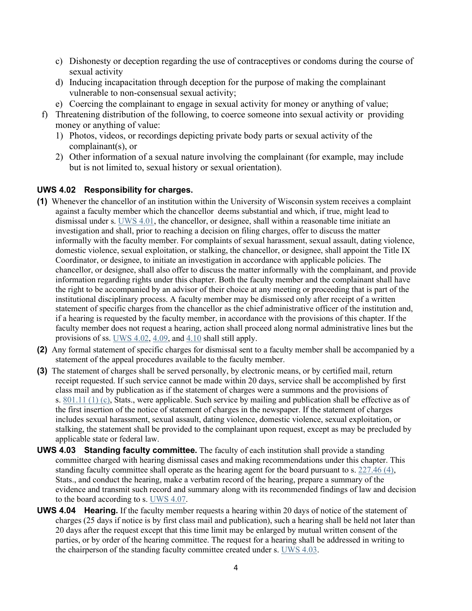- c) Dishonesty or deception regarding the use of contraceptives or condoms during the course of sexual activity
- d) Inducing incapacitation through deception for the purpose of making the complainant vulnerable to non-consensual sexual activity;
- e) Coercing the complainant to engage in sexual activity for money or anything of value;
- f) Threatening distribution of the following, to coerce someone into sexual activity or providing money or anything of value:
	- 1) Photos, videos, or recordings depicting private body parts or sexual activity of the complainant(s), or
	- 2) Other information of a sexual nature involving the complainant (for example, may include but is not limited to, sexual history or sexual orientation).

### **UWS 4.02 Responsibility for charges.**

- **(1)** Whenever the chancellor of an institution within the University of Wisconsin system receives a complaint against a faculty member which the chancellor deems substantial and which, if true, might lead to dismissal under s. [UWS 4.01,](http://docs.legis.wisconsin.gov/document/administrativecode/UWS%204.01) the chancellor, or designee, shall within a reasonable time initiate an investigation and shall, prior to reaching a decision on filing charges, offer to discuss the matter informally with the faculty member. For complaints of sexual harassment, sexual assault, dating violence, domestic violence, sexual exploitation, or stalking, the chancellor, or designee, shall appoint the Title IX Coordinator, or designee, to initiate an investigation in accordance with applicable policies. The chancellor, or designee, shall also offer to discuss the matter informally with the complainant, and provide information regarding rights under this chapter. Both the faculty member and the complainant shall have the right to be accompanied by an advisor of their choice at any meeting or proceeding that is part of the institutional disciplinary process. A faculty member may be dismissed only after receipt of a written statement of specific charges from the chancellor as the chief administrative officer of the institution and, if a hearing is requested by the faculty member, in accordance with the provisions of this chapter. If the faculty member does not request a hearing, action shall proceed along normal administrative lines but the provisions of ss. [UWS 4.02,](http://docs.legis.wisconsin.gov/document/administrativecode/UWS%204.02) [4.09,](http://docs.legis.wisconsin.gov/document/administrativecode/UWS%204.09) and [4.10](http://docs.legis.wisconsin.gov/document/administrativecode/UWS%204.10) shall still apply.
- **(2)** Any formal statement of specific charges for dismissal sent to a faculty member shall be accompanied by a statement of the appeal procedures available to the faculty member.
- **(3)** The statement of charges shall be served personally, by electronic means, or by certified mail, return receipt requested. If such service cannot be made within 20 days, service shall be accomplished by first class mail and by publication as if the statement of charges were a summons and the provisions of s. [801.11 \(1\) \(c\),](http://docs.legis.wisconsin.gov/document/statutes/801.11(1)(c)) Stats., were applicable. Such service by mailing and publication shall be effective as of the first insertion of the notice of statement of charges in the newspaper. If the statement of charges includes sexual harassment, sexual assault, dating violence, domestic violence, sexual exploitation, or stalking, the statement shall be provided to the complainant upon request, except as may be precluded by applicable state or federal law.
- **UWS 4.03 Standing faculty committee.** The faculty of each institution shall provide a standing committee charged with hearing dismissal cases and making recommendations under this chapter. This standing faculty committee shall operate as the hearing agent for the board pursuant to s. [227.46 \(4\),](http://docs.legis.wisconsin.gov/document/statutes/227.46(4)) Stats., and conduct the hearing, make a verbatim record of the hearing, prepare a summary of the evidence and transmit such record and summary along with its recommended findings of law and decision to the board according to s. [UWS 4.07.](http://docs.legis.wisconsin.gov/document/administrativecode/UWS%204.07)
- **UWS 4.04 Hearing.** If the faculty member requests a hearing within 20 days of notice of the statement of charges (25 days if notice is by first class mail and publication), such a hearing shall be held not later than 20 days after the request except that this time limit may be enlarged by mutual written consent of the parties, or by order of the hearing committee. The request for a hearing shall be addressed in writing to the chairperson of the standing faculty committee created under s. [UWS 4.03.](http://docs.legis.wisconsin.gov/document/administrativecode/UWS%204.03)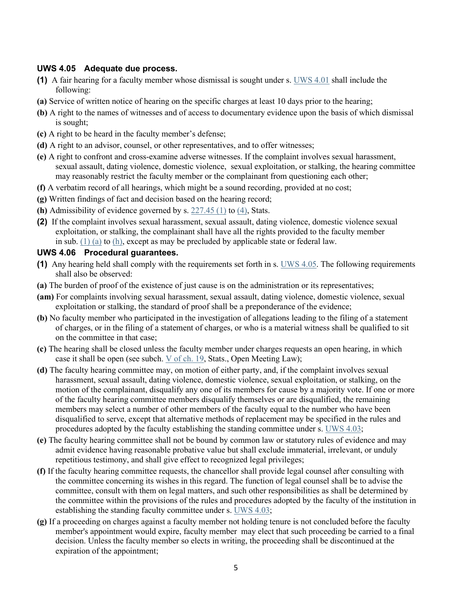#### **UWS 4.05 Adequate due process.**

- **(1)** A fair hearing for a faculty member whose dismissal is sought under s. [UWS 4.01](http://docs.legis.wisconsin.gov/document/administrativecode/UWS%204.01) shall include the following:
- **(a)** Service of written notice of hearing on the specific charges at least 10 days prior to the hearing;
- **(b)** A right to the names of witnesses and of access to documentary evidence upon the basis of which dismissal is sought;
- **(c)** A right to be heard in the faculty member's defense;
- **(d)** A right to an advisor, counsel, or other representatives, and to offer witnesses;
- **(e)** A right to confront and cross-examine adverse witnesses. If the complaint involves sexual harassment, sexual assault, dating violence, domestic violence, sexual exploitation, or stalking, the hearing committee may reasonably restrict the faculty member or the complainant from questioning each other;
- **(f)** A verbatim record of all hearings, which might be a sound recording, provided at no cost;
- **(g)** Written findings of fact and decision based on the hearing record;
- **(h)** Admissibility of evidence governed by s.  $227.45$  (1) to  $(4)$ , Stats.
- **(2)** If the complaint involves sexual harassment, sexual assault, dating violence, domestic violence sexual exploitation, or stalking, the complainant shall have all the rights provided to the faculty member in sub.  $(1)$  (a) to  $(h)$ , except as may be precluded by applicable state or federal law.

#### **UWS 4.06 Procedural guarantees.**

- **(1)** Any hearing held shall comply with the requirements set forth in s. [UWS 4.05.](http://docs.legis.wisconsin.gov/document/administrativecode/UWS%204.05) The following requirements shall also be observed:
- **(a)** The burden of proof of the existence of just cause is on the administration or its representatives;
- **(am)** For complaints involving sexual harassment, sexual assault, dating violence, domestic violence, sexual exploitation or stalking, the standard of proof shall be a preponderance of the evidence;
- **(b)** No faculty member who participated in the investigation of allegations leading to the filing of a statement of charges, or in the filing of a statement of charges, or who is a material witness shall be qualified to sit on the committee in that case;
- **(c)** The hearing shall be closed unless the faculty member under charges requests an open hearing, in which case it shall be open (see subch.  $V$  [of ch. 19,](http://docs.legis.wisconsin.gov/document/statutes/subch.%20V%20of%20ch.%2019) Stats., Open Meeting Law);
- **(d)** The faculty hearing committee may, on motion of either party, and, if the complaint involves sexual harassment, sexual assault, dating violence, domestic violence, sexual exploitation, or stalking, on the motion of the complainant, disqualify any one of its members for cause by a majority vote. If one or more of the faculty hearing committee members disqualify themselves or are disqualified, the remaining members may select a number of other members of the faculty equal to the number who have been disqualified to serve, except that alternative methods of replacement may be specified in the rules and procedures adopted by the faculty establishing the standing committee under s. [UWS 4.03;](http://docs.legis.wisconsin.gov/document/administrativecode/UWS%204.03)
- **(e)** The faculty hearing committee shall not be bound by common law or statutory rules of evidence and may admit evidence having reasonable probative value but shall exclude immaterial, irrelevant, or unduly repetitious testimony, and shall give effect to recognized legal privileges;
- **(f)** If the faculty hearing committee requests, the chancellor shall provide legal counsel after consulting with the committee concerning its wishes in this regard. The function of legal counsel shall be to advise the committee, consult with them on legal matters, and such other responsibilities as shall be determined by the committee within the provisions of the rules and procedures adopted by the faculty of the institution in establishing the standing faculty committee under s. [UWS 4.03;](http://docs.legis.wisconsin.gov/document/administrativecode/UWS%204.03)
- **(g)** If a proceeding on charges against a faculty member not holding tenure is not concluded before the faculty member's appointment would expire, faculty member may elect that such proceeding be carried to a final decision. Unless the faculty member so elects in writing, the proceeding shall be discontinued at the expiration of the appointment;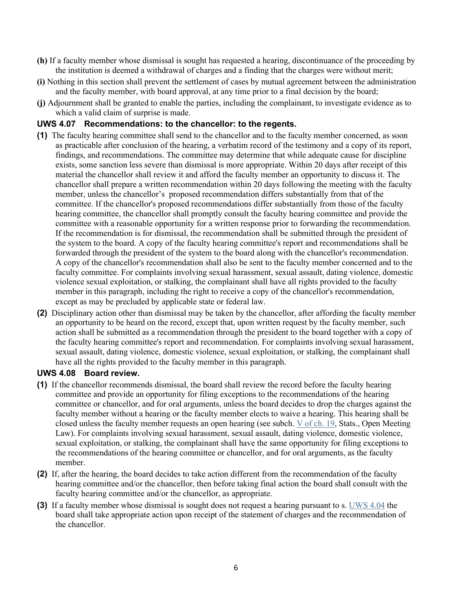- **(h)** If a faculty member whose dismissal is sought has requested a hearing, discontinuance of the proceeding by the institution is deemed a withdrawal of charges and a finding that the charges were without merit;
- **(i)** Nothing in this section shall prevent the settlement of cases by mutual agreement between the administration and the faculty member, with board approval, at any time prior to a final decision by the board;
- **(j)** Adjournment shall be granted to enable the parties, including the complainant, to investigate evidence as to which a valid claim of surprise is made.

#### **UWS 4.07 Recommendations: to the chancellor: to the regents.**

- **(1)** The faculty hearing committee shall send to the chancellor and to the faculty member concerned, as soon as practicable after conclusion of the hearing, a verbatim record of the testimony and a copy of its report, findings, and recommendations. The committee may determine that while adequate cause for discipline exists, some sanction less severe than dismissal is more appropriate. Within 20 days after receipt of this material the chancellor shall review it and afford the faculty member an opportunity to discuss it. The chancellor shall prepare a written recommendation within 20 days following the meeting with the faculty member, unless the chancellor's proposed recommendation differs substantially from that of the committee. If the chancellor's proposed recommendations differ substantially from those of the faculty hearing committee, the chancellor shall promptly consult the faculty hearing committee and provide the committee with a reasonable opportunity for a written response prior to forwarding the recommendation. If the recommendation is for dismissal, the recommendation shall be submitted through the president of the system to the board. A copy of the faculty hearing committee's report and recommendations shall be forwarded through the president of the system to the board along with the chancellor's recommendation. A copy of the chancellor's recommendation shall also be sent to the faculty member concerned and to the faculty committee. For complaints involving sexual harassment, sexual assault, dating violence, domestic violence sexual exploitation, or stalking, the complainant shall have all rights provided to the faculty member in this paragraph, including the right to receive a copy of the chancellor's recommendation, except as may be precluded by applicable state or federal law.
- **(2)** Disciplinary action other than dismissal may be taken by the chancellor, after affording the faculty member an opportunity to be heard on the record, except that, upon written request by the faculty member, such action shall be submitted as a recommendation through the president to the board together with a copy of the faculty hearing committee's report and recommendation. For complaints involving sexual harassment, sexual assault, dating violence, domestic violence, sexual exploitation, or stalking, the complainant shall have all the rights provided to the faculty member in this paragraph.

#### **UWS 4.08 Board review.**

- **(1)** If the chancellor recommends dismissal, the board shall review the record before the faculty hearing committee and provide an opportunity for filing exceptions to the recommendations of the hearing committee or chancellor, and for oral arguments, unless the board decides to drop the charges against the faculty member without a hearing or the faculty member elects to waive a hearing. This hearing shall be closed unless the faculty member requests an open hearing (see subch. [V](http://docs.legis.wisconsin.gov/document/statutes/subch.%20V%20of%20ch.%2019) [of ch. 19,](http://docs.legis.wisconsin.gov/document/statutes/subch.%20V%20of%20ch.%2019) Stats., Open Meeting Law). For complaints involving sexual harassment, sexual assault, dating violence, domestic violence, sexual exploitation, or stalking, the complainant shall have the same opportunity for filing exceptions to the recommendations of the hearing committee or chancellor, and for oral arguments, as the faculty member.
- **(2)** If, after the hearing, the board decides to take action different from the recommendation of the faculty hearing committee and/or the chancellor, then before taking final action the board shall consult with the faculty hearing committee and/or the chancellor, as appropriate.
- **(3)** If a faculty member whose dismissal is sought does not request a hearing pursuant to s. [UWS 4.04](http://docs.legis.wisconsin.gov/document/administrativecode/UWS%204.04) the board shall take appropriate action upon receipt of the statement of charges and the recommendation of the chancellor.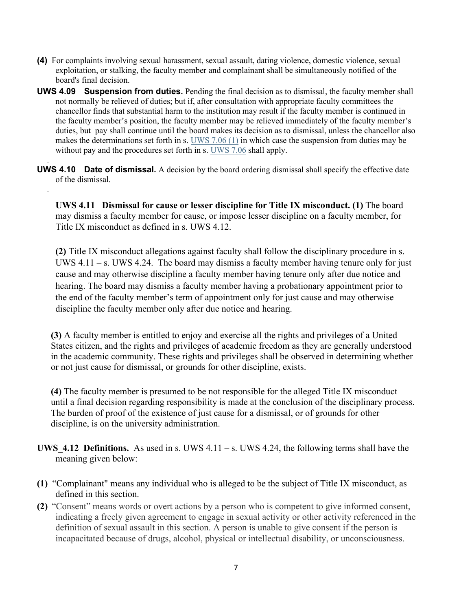- **(4)** For complaints involving sexual harassment, sexual assault, dating violence, domestic violence, sexual exploitation, or stalking, the faculty member and complainant shall be simultaneously notified of the board's final decision.
- **UWS 4.09 Suspension from duties.** Pending the final decision as to dismissal, the faculty member shall not normally be relieved of duties; but if, after consultation with appropriate faculty committees the chancellor finds that substantial harm to the institution may result if the faculty member is continued in the faculty member's position, the faculty member may be relieved immediately of the faculty member's duties, but pay shall continue until the board makes its decision as to dismissal, unless the chancellor also makes the determinations set forth in s. [UWS 7.06 \(1\)](http://docs.legis.wisconsin.gov/document/administrativecode/UWS%207.06(1)) in which case the suspension from duties may be without pay and the procedures set forth in s. [UWS 7.06](http://docs.legis.wisconsin.gov/document/administrativecode/UWS%207.06) shall apply.
- . **UWS 4.10 Date of dismissal.** A decision by the board ordering dismissal shall specify the effective date of the dismissal.

.

**UWS 4.11 Dismissal for cause or lesser discipline for Title IX misconduct. (1)** The board may dismiss a faculty member for cause, or impose lesser discipline on a faculty member, for Title IX misconduct as defined in s. UWS 4.12.

**(2)** Title IX misconduct allegations against faculty shall follow the disciplinary procedure in s. UWS  $4.11 - s$ . UWS 4.24. The board may dismiss a faculty member having tenure only for just cause and may otherwise discipline a faculty member having tenure only after due notice and hearing. The board may dismiss a faculty member having a probationary appointment prior to the end of the faculty member's term of appointment only for just cause and may otherwise discipline the faculty member only after due notice and hearing.

**(3)** A faculty member is entitled to enjoy and exercise all the rights and privileges of a United States citizen, and the rights and privileges of academic freedom as they are generally understood in the academic community. These rights and privileges shall be observed in determining whether or not just cause for dismissal, or grounds for other discipline, exists.

**(4)** The faculty member is presumed to be not responsible for the alleged Title IX misconduct until a final decision regarding responsibility is made at the conclusion of the disciplinary process. The burden of proof of the existence of just cause for a dismissal, or of grounds for other discipline, is on the university administration.

- **UWS** 4.12 Definitions. As used in s. UWS  $4.11 s$ . UWS 4.24, the following terms shall have the meaning given below:
- **(1)** "Complainant" means any individual who is alleged to be the subject of Title IX misconduct, as defined in this section.
- **(2)** "Consent" means words or overt actions by a person who is competent to give informed consent, indicating a freely given agreement to engage in sexual activity or other activity referenced in the definition of sexual assault in this section. A person is unable to give consent if the person is incapacitated because of drugs, alcohol, physical or intellectual disability, or unconsciousness.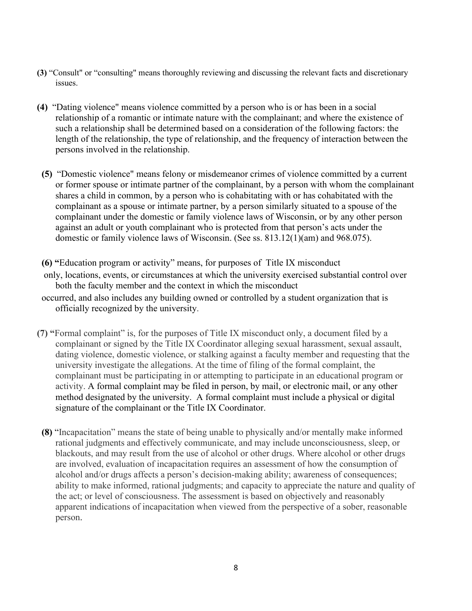- **(3)** "Consult" or "consulting" means thoroughly reviewing and discussing the relevant facts and discretionary issues.
- **(4)** "Dating violence" means violence committed by a person who is or has been in a social relationship of a romantic or intimate nature with the complainant; and where the existence of such a relationship shall be determined based on a consideration of the following factors: the length of the relationship, the type of relationship, and the frequency of interaction between the persons involved in the relationship.
- **(5)** "Domestic violence" means felony or misdemeanor crimes of violence committed by a current or former spouse or intimate partner of the complainant, by a person with whom the complainant shares a child in common, by a person who is cohabitating with or has cohabitated with the complainant as a spouse or intimate partner, by a person similarly situated to a spouse of the complainant under the domestic or family violence laws of Wisconsin, or by any other person against an adult or youth complainant who is protected from that person's acts under the domestic or family violence laws of Wisconsin. (See ss. 813.12(1)(am) and 968.075).
- **(6) "**Education program or activity" means, for purposes of Title IX misconduct only, locations, events, or circumstances at which the university exercised substantial control over both the faculty member and the context in which the misconduct
- occurred, and also includes any building owned or controlled by a student organization that is officially recognized by the university.
- **(7) "**Formal complaint" is, for the purposes of Title IX misconduct only, a document filed by a complainant or signed by the Title IX Coordinator alleging sexual harassment, sexual assault, dating violence, domestic violence, or stalking against a faculty member and requesting that the university investigate the allegations. At the time of filing of the formal complaint, the complainant must be participating in or attempting to participate in an educational program or activity. A formal complaint may be filed in person, by mail, or electronic mail, or any other method designated by the university. A formal complaint must include a physical or digital signature of the complainant or the Title IX Coordinator.
- **(8)** "Incapacitation" means the state of being unable to physically and/or mentally make informed rational judgments and effectively communicate, and may include unconsciousness, sleep, or blackouts, and may result from the use of alcohol or other drugs. Where alcohol or other drugs are involved, evaluation of incapacitation requires an assessment of how the consumption of alcohol and/or drugs affects a person's decision-making ability; awareness of consequences; ability to make informed, rational judgments; and capacity to appreciate the nature and quality of the act; or level of consciousness. The assessment is based on objectively and reasonably apparent indications of incapacitation when viewed from the perspective of a sober, reasonable person.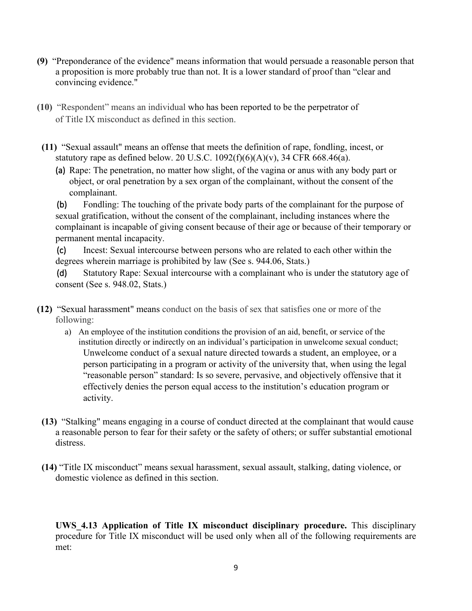- **(9)** "Preponderance of the evidence" means information that would persuade a reasonable person that a proposition is more probably true than not. It is a lower standard of proof than "clear and convincing evidence."
- **(10)** "Respondent" means an individual who has been reported to be the perpetrator of of Title IX misconduct as defined in this section.
- **(11)** "Sexual assault" means an offense that meets the definition of rape, [fondling,](https://www.law.cornell.edu/definitions/index.php?width=840&height=800&iframe=true&def_id=3112f914903fb64936d08c8c15e2ea59&term_occur=999&term_src=Title:34:Subtitle:B:Chapter:VI:Part:668:Subpart:D:668.46) [incest,](https://www.law.cornell.edu/definitions/index.php?width=840&height=800&iframe=true&def_id=5ee45180f812d62eecc4e6aa2a0693b4&term_occur=999&term_src=Title:34:Subtitle:B:Chapter:VI:Part:668:Subpart:D:668.46) or [statutory rape](https://www.law.cornell.edu/definitions/index.php?width=840&height=800&iframe=true&def_id=d378725adf04ddf1e40cd14d6e338cca&term_occur=999&term_src=Title:34:Subtitle:B:Chapter:VI:Part:668:Subpart:D:668.46) as defined below. 20 U.S.C.  $1092(f)(6)(A)(v)$ , 34 CFR 668.46(a).
	- (a) Rape: The penetration, no matter how slight, of the vagina or anus with any body part or object, or oral penetration by a sex organ of the complainant, without the consent of the complainant.

(b) Fondling: The touching of the private body parts of the complainant for the purpose of sexual gratification, without the consent of the complainant, including instances where the complainant is incapable of giving consent because of their age or because of their temporary or permanent mental incapacity.

(c) Incest: Sexual intercourse between persons who are related to each other within the degrees wherein marriage is prohibited by law (See s. 944.06, Stats.)

(d) Statutory Rape: Sexual intercourse with a complainant who is under the statutory age of consent (See s. 948.02, Stats.)

- **(12)** "Sexual harassment" means conduct on the basis of sex that satisfies one or more of the following:
	- a) An employee of the institution conditions the provision of an aid, benefit, or service of the institution directly or indirectly on an individual's participation in unwelcome sexual conduct; Unwelcome conduct of a sexual nature directed towards a student, an employee, or a person participating in a program or activity of the university that, when using the legal "reasonable person" standard: Is so severe, pervasive, and objectively offensive that it effectively denies the person equal access to the institution's education program or activity.
- **(13)** "Stalking" means engaging in a course of conduct directed at the complainant that would cause a reasonable person to fear for their safety or the safety of others; or suffer substantial emotional distress.
- **(14)** "Title IX misconduct" means sexual harassment, sexual assault, stalking, dating violence, or domestic violence as defined in this section.

**UWS\_4.13 Application of Title IX misconduct disciplinary procedure.** This disciplinary procedure for Title IX misconduct will be used only when all of the following requirements are met: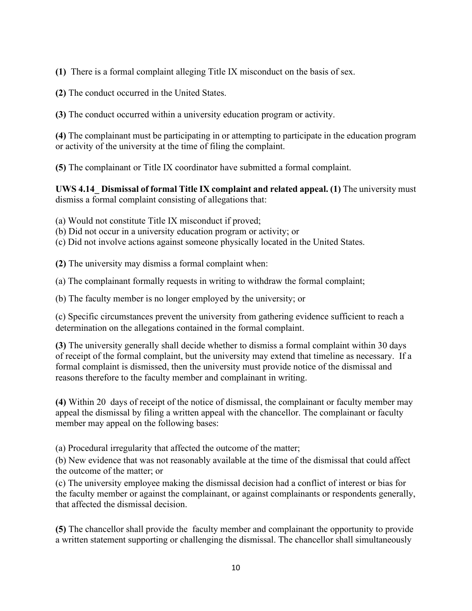**(1)** There is a formal complaint alleging Title IX misconduct on the basis of sex.

**(2)** The conduct occurred in the United States.

**(3)** The conduct occurred within a university education program or activity.

**(4)** The complainant must be participating in or attempting to participate in the education program or activity of the university at the time of filing the complaint.

**(5)** The complainant or Title IX coordinator have submitted a formal complaint.

**UWS 4.14\_ Dismissal of formal Title IX complaint and related appeal. (1)** The university must dismiss a formal complaint consisting of allegations that:

(a) Would not constitute Title IX misconduct if proved;

(b) Did not occur in a university education program or activity; or

(c) Did not involve actions against someone physically located in the United States.

**(2)** The university may dismiss a formal complaint when:

(a) The complainant formally requests in writing to withdraw the formal complaint;

(b) The faculty member is no longer employed by the university; or

(c) Specific circumstances prevent the university from gathering evidence sufficient to reach a determination on the allegations contained in the formal complaint.

**(3)** The university generally shall decide whether to dismiss a formal complaint within 30 days of receipt of the formal complaint, but the university may extend that timeline as necessary. If a formal complaint is dismissed, then the university must provide notice of the dismissal and reasons therefore to the faculty member and complainant in writing.

**(4)** Within 20 days of receipt of the notice of dismissal, the complainant or faculty member may appeal the dismissal by filing a written appeal with the chancellor. The complainant or faculty member may appeal on the following bases:

(a) Procedural irregularity that affected the outcome of the matter;

(b) New evidence that was not reasonably available at the time of the dismissal that could affect the outcome of the matter; or

(c) The university employee making the dismissal decision had a conflict of interest or bias for the faculty member or against the complainant, or against complainants or respondents generally, that affected the dismissal decision.

**(5)** The chancellor shall provide the faculty member and complainant the opportunity to provide a written statement supporting or challenging the dismissal. The chancellor shall simultaneously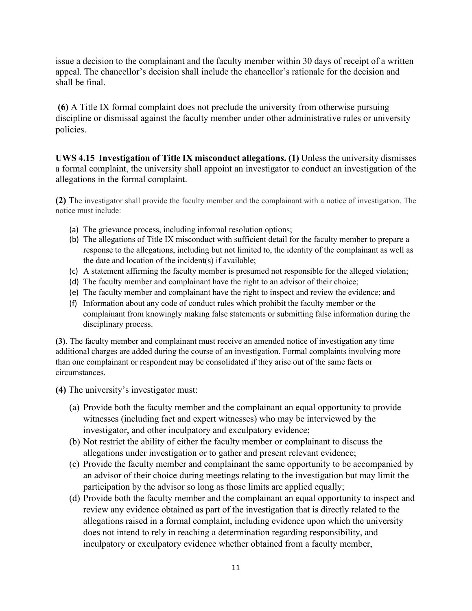issue a decision to the complainant and the faculty member within 30 days of receipt of a written appeal. The chancellor's decision shall include the chancellor's rationale for the decision and shall be final.

**(6)** A Title IX formal complaint does not preclude the university from otherwise pursuing discipline or dismissal against the faculty member under other administrative rules or university policies.

**UWS 4.15 Investigation of Title IX misconduct allegations. (1)** Unless the university dismisses a formal complaint, the university shall appoint an investigator to conduct an investigation of the allegations in the formal complaint.

**(2)** The investigator shall provide the faculty member and the complainant with a notice of investigation. The notice must include:

- (a) The grievance process, including informal resolution options;
- (b) The allegations of Title IX misconduct with sufficient detail for the faculty member to prepare a response to the allegations, including but not limited to, the identity of the complainant as well as the date and location of the incident(s) if available;
- (c) A statement affirming the faculty member is presumed not responsible for the alleged violation;
- (d) The faculty member and complainant have the right to an advisor of their choice;
- (e) The faculty member and complainant have the right to inspect and review the evidence; and
- (f) Information about any code of conduct rules which prohibit the faculty member or the complainant from knowingly making false statements or submitting false information during the disciplinary process.

**(3)**. The faculty member and complainant must receive an amended notice of investigation any time additional charges are added during the course of an investigation. Formal complaints involving more than one complainant or respondent may be consolidated if they arise out of the same facts or circumstances.

**(4)** The university's investigator must:

- (a) Provide both the faculty member and the complainant an equal opportunity to provide witnesses (including fact and expert witnesses) who may be interviewed by the investigator, and other inculpatory and exculpatory evidence;
- (b) Not restrict the ability of either the faculty member or complainant to discuss the allegations under investigation or to gather and present relevant evidence;
- (c) Provide the faculty member and complainant the same opportunity to be accompanied by an advisor of their choice during meetings relating to the investigation but may limit the participation by the advisor so long as those limits are applied equally;
- (d) Provide both the faculty member and the complainant an equal opportunity to inspect and review any evidence obtained as part of the investigation that is directly related to the allegations raised in a formal complaint, including evidence upon which the university does not intend to rely in reaching a determination regarding responsibility, and inculpatory or exculpatory evidence whether obtained from a faculty member,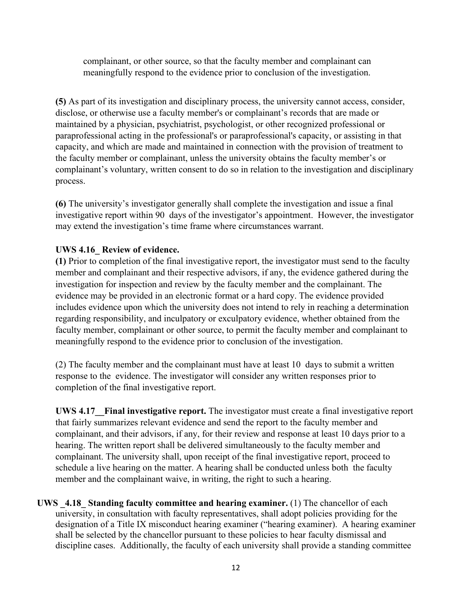complainant, or other source, so that the faculty member and complainant can meaningfully respond to the evidence prior to conclusion of the investigation.

**(5)** As part of its investigation and disciplinary process, the university cannot access, consider, disclose, or otherwise use a faculty member's or complainant's records that are made or maintained by a physician, psychiatrist, psychologist, or other recognized professional or paraprofessional acting in the professional's or paraprofessional's capacity, or assisting in that capacity, and which are made and maintained in connection with the provision of treatment to the faculty member or complainant, unless the university obtains the faculty member's or complainant's voluntary, written consent to do so in relation to the investigation and disciplinary process.

**(6)** The university's investigator generally shall complete the investigation and issue a final investigative report within 90 days of the investigator's appointment. However, the investigator may extend the investigation's time frame where circumstances warrant.

## **UWS 4.16\_ Review of evidence.**

**(1)** Prior to completion of the final investigative report, the investigator must send to the faculty member and complainant and their respective advisors, if any, the evidence gathered during the investigation for inspection and review by the faculty member and the complainant. The evidence may be provided in an electronic format or a hard copy. The evidence provided includes evidence upon which the university does not intend to rely in reaching a determination regarding responsibility, and inculpatory or exculpatory evidence, whether obtained from the faculty member, complainant or other source, to permit the faculty member and complainant to meaningfully respond to the evidence prior to conclusion of the investigation.

(2) The faculty member and the complainant must have at least 10 days to submit a written response to the evidence. The investigator will consider any written responses prior to completion of the final investigative report.

**UWS 4.17\_\_Final investigative report.** The investigator must create a final investigative report that fairly summarizes relevant evidence and send the report to the faculty member and complainant, and their advisors, if any, for their review and response at least 10 days prior to a hearing. The written report shall be delivered simultaneously to the faculty member and complainant. The university shall, upon receipt of the final investigative report, proceed to schedule a live hearing on the matter. A hearing shall be conducted unless both the faculty member and the complainant waive, in writing, the right to such a hearing.

**UWS \_4.18\_ Standing faculty committee and hearing examiner.** (1) The chancellor of each university, in consultation with faculty representatives, shall adopt policies providing for the designation of a Title IX misconduct hearing examiner ("hearing examiner). A hearing examiner shall be selected by the chancellor pursuant to these policies to hear faculty dismissal and discipline cases. Additionally, the faculty of each university shall provide a standing committee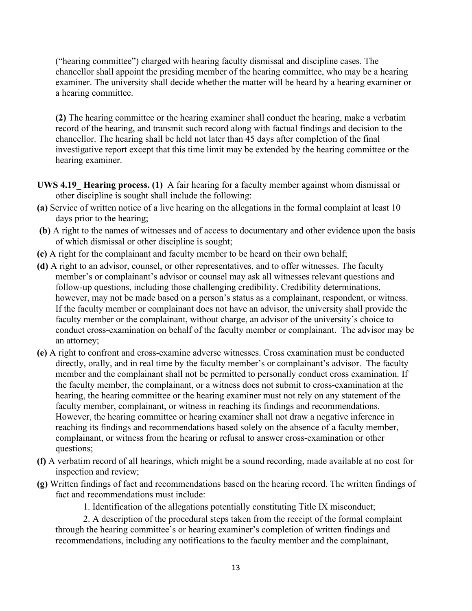("hearing committee") charged with hearing faculty dismissal and discipline cases. The chancellor shall appoint the presiding member of the hearing committee, who may be a hearing examiner. The university shall decide whether the matter will be heard by a hearing examiner or a hearing committee.

**(2)** The hearing committee or the hearing examiner shall conduct the hearing, make a verbatim record of the hearing, and transmit such record along with factual findings and decision to the chancellor. The hearing shall be held not later than 45 days after completion of the final investigative report except that this time limit may be extended by the hearing committee or the hearing examiner.

- **UWS 4.19\_ Hearing process. (1)** A fair hearing for a faculty member against whom dismissal or other discipline is sought shall include the following:
- **(a)** Service of written notice of a live hearing on the allegations in the formal complaint at least 10 days prior to the hearing;
- **(b)** A right to the names of witnesses and of access to documentary and other evidence upon the basis of which dismissal or other discipline is sought;
- **(c)** A right for the complainant and faculty member to be heard on their own behalf;
- **(d)** A right to an advisor, counsel, or other representatives, and to offer witnesses. The faculty member's or complainant's advisor or counsel may ask all witnesses relevant questions and follow-up questions, including those challenging credibility. Credibility determinations, however, may not be made based on a person's status as a complainant, respondent, or witness. If the faculty member or complainant does not have an advisor, the university shall provide the faculty member or the complainant, without charge, an advisor of the university's choice to conduct cross-examination on behalf of the faculty member or complainant. The advisor may be an attorney;
- **(e)** A right to confront and cross-examine adverse witnesses. Cross examination must be conducted directly, orally, and in real time by the faculty member's or complainant's advisor. The faculty member and the complainant shall not be permitted to personally conduct cross examination. If the faculty member, the complainant, or a witness does not submit to cross-examination at the hearing, the hearing committee or the hearing examiner must not rely on any statement of the faculty member, complainant, or witness in reaching its findings and recommendations. However, the hearing committee or hearing examiner shall not draw a negative inference in reaching its findings and recommendations based solely on the absence of a faculty member, complainant, or witness from the hearing or refusal to answer cross-examination or other questions;
- **(f)** A verbatim record of all hearings, which might be a sound recording, made available at no cost for inspection and review;
- **(g)** Written findings of fact and recommendations based on the hearing record. The written findings of fact and recommendations must include:

1. Identification of the allegations potentially constituting Title IX misconduct;

2. A description of the procedural steps taken from the receipt of the formal complaint through the hearing committee's or hearing examiner's completion of written findings and recommendations, including any notifications to the faculty member and the complainant,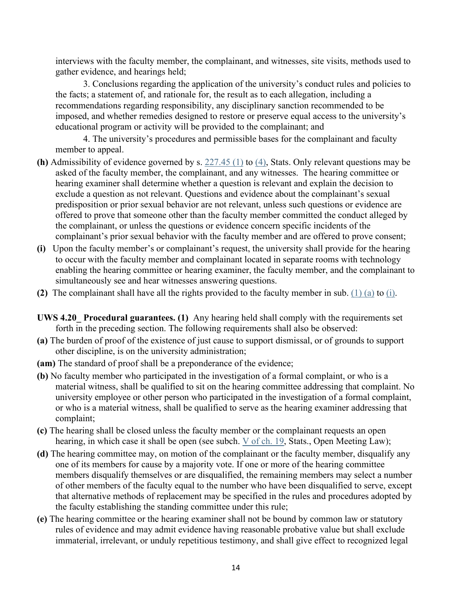interviews with the faculty member, the complainant, and witnesses, site visits, methods used to gather evidence, and hearings held;

3. Conclusions regarding the application of the university's conduct rules and policies to the facts; a statement of, and rationale for, the result as to each allegation, including a recommendations regarding responsibility, any disciplinary sanction recommended to be imposed, and whether remedies designed to restore or preserve equal access to the university's educational program or activity will be provided to the complainant; and

4. The university's procedures and permissible bases for the complainant and faculty member to appeal.

- **(h)** Admissibility of evidence governed by s. [227.45 \(1\)](http://docs.legis.wisconsin.gov/document/statutes/227.45(1)) to [\(4\),](http://docs.legis.wisconsin.gov/document/statutes/227.45(4)) Stats. Only relevant questions may be asked of the faculty member, the complainant, and any witnesses. The hearing committee or hearing examiner shall determine whether a question is relevant and explain the decision to exclude a question as not relevant. Questions and evidence about the complainant's sexual predisposition or prior sexual behavior are not relevant, unless such questions or evidence are offered to prove that someone other than the faculty member committed the conduct alleged by the complainant, or unless the questions or evidence concern specific incidents of the complainant's prior sexual behavior with the faculty member and are offered to prove consent;
- **(i)** Upon the faculty member's or complainant's request, the university shall provide for the hearing to occur with the faculty member and complainant located in separate rooms with technology enabling the hearing committee or hearing examiner, the faculty member, and the complainant to simultaneously see and hear witnesses answering questions.
- **(2)** The complainant shall have all the rights provided to the faculty member in sub. [\(1\) \(a\)](http://docs.legis.wisconsin.gov/document/administrativecode/UWS%204.05(1)(a)) to [\(i\).](http://docs.legis.wisconsin.gov/document/administrativecode/UWS%204.05(1)(h))
- **UWS 4.20\_ Procedural guarantees. (1)** Any hearing held shall comply with the requirements set forth in the preceding section. The following requirements shall also be observed:
- **(a)** The burden of proof of the existence of just cause to support dismissal, or of grounds to support other discipline, is on the university administration;
- **(am)** The standard of proof shall be a preponderance of the evidence;
- **(b)** No faculty member who participated in the investigation of a formal complaint, or who is a material witness, shall be qualified to sit on the hearing committee addressing that complaint. No university employee or other person who participated in the investigation of a formal complaint, or who is a material witness, shall be qualified to serve as the hearing examiner addressing that complaint;
- **(c)** The hearing shall be closed unless the faculty member or the complainant requests an open hearing, in which case it shall be open (see subch. [V](http://docs.legis.wisconsin.gov/document/statutes/subch.%20V%20of%20ch.%2019) [of ch. 19,](http://docs.legis.wisconsin.gov/document/statutes/subch.%20V%20of%20ch.%2019) Stats., Open Meeting Law);
- **(d)** The hearing committee may, on motion of the complainant or the faculty member, disqualify any one of its members for cause by a majority vote. If one or more of the hearing committee members disqualify themselves or are disqualified, the remaining members may select a number of other members of the faculty equal to the number who have been disqualified to serve, except that alternative methods of replacement may be specified in the rules and procedures adopted by the faculty establishing the standing committee under this rule;
- **(e)** The hearing committee or the hearing examiner shall not be bound by common law or statutory rules of evidence and may admit evidence having reasonable probative value but shall exclude immaterial, irrelevant, or unduly repetitious testimony, and shall give effect to recognized legal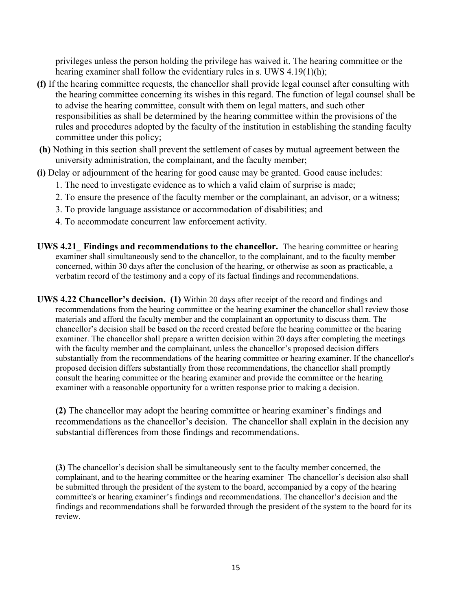privileges unless the person holding the privilege has waived it. The hearing committee or the hearing examiner shall follow the evidentiary rules in s. UWS 4.19(1)(h);

- **(f)** If the hearing committee requests, the chancellor shall provide legal counsel after consulting with the hearing committee concerning its wishes in this regard. The function of legal counsel shall be to advise the hearing committee, consult with them on legal matters, and such other responsibilities as shall be determined by the hearing committee within the provisions of the rules and procedures adopted by the faculty of the institution in establishing the standing faculty committee under this policy;
- **(h)** Nothing in this section shall prevent the settlement of cases by mutual agreement between the university administration, the complainant, and the faculty member;
- **(i)** Delay or adjournment of the hearing for good cause may be granted. Good cause includes:
	- 1. The need to investigate evidence as to which a valid claim of surprise is made;
	- 2. To ensure the presence of the faculty member or the complainant, an advisor, or a witness;
	- 3. To provide language assistance or accommodation of disabilities; and
	- 4. To accommodate concurrent law enforcement activity.
- **UWS 4.21\_ Findings and recommendations to the chancellor.** The hearing committee or hearing examiner shall simultaneously send to the chancellor, to the complainant, and to the faculty member concerned, within 30 days after the conclusion of the hearing, or otherwise as soon as practicable, a verbatim record of the testimony and a copy of its factual findings and recommendations.
- **UWS 4.22 Chancellor's decision. (1)** Within 20 days after receipt of the record and findings and recommendations from the hearing committee or the hearing examiner the chancellor shall review those materials and afford the faculty member and the complainant an opportunity to discuss them. The chancellor's decision shall be based on the record created before the hearing committee or the hearing examiner. The chancellor shall prepare a written decision within 20 days after completing the meetings with the faculty member and the complainant, unless the chancellor's proposed decision differs substantially from the recommendations of the hearing committee or hearing examiner. If the chancellor's proposed decision differs substantially from those recommendations, the chancellor shall promptly consult the hearing committee or the hearing examiner and provide the committee or the hearing examiner with a reasonable opportunity for a written response prior to making a decision.

**(2)** The chancellor may adopt the hearing committee or hearing examiner's findings and recommendations as the chancellor's decision. The chancellor shall explain in the decision any substantial differences from those findings and recommendations.

**(3)** The chancellor's decision shall be simultaneously sent to the faculty member concerned, the complainant, and to the hearing committee or the hearing examiner The chancellor's decision also shall be submitted through the president of the system to the board, accompanied by a copy of the hearing committee's or hearing examiner's findings and recommendations. The chancellor's decision and the findings and recommendations shall be forwarded through the president of the system to the board for its review.